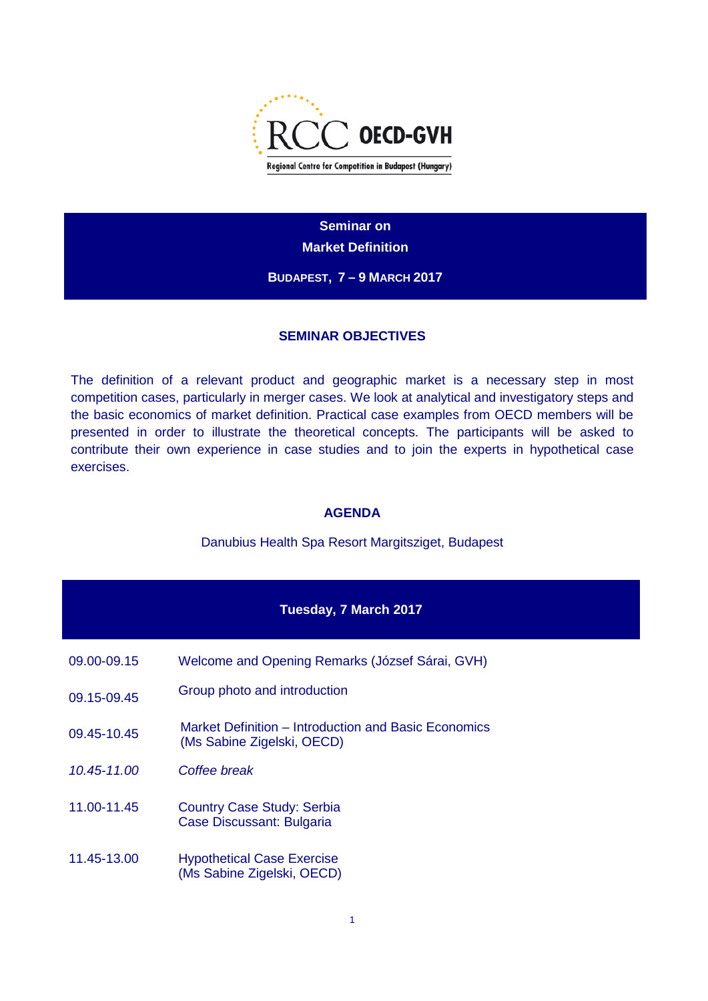

**Seminar on Market Definition**

**BUDAPEST, 7 – 9 MARCH 2017**

#### **SEMINAR OBJECTIVES**

The definition of a relevant product and geographic market is a necessary step in most competition cases, particularly in merger cases. We look at analytical and investigatory steps and the basic economics of market definition. Practical case examples from OECD members will be presented in order to illustrate the theoretical concepts. The participants will be asked to contribute their own experience in case studies and to join the experts in hypothetical case exercises.

### **AGENDA**

#### Danubius Health Spa Resort Margitsziget, Budapest

| <b>Tuesday, 7 March 2017</b> |                                                                                    |  |
|------------------------------|------------------------------------------------------------------------------------|--|
| 09.00-09.15                  | Welcome and Opening Remarks (József Sárai, GVH)                                    |  |
| 09.15-09.45                  | Group photo and introduction                                                       |  |
| 09.45-10.45                  | Market Definition – Introduction and Basic Economics<br>(Ms Sabine Zigelski, OECD) |  |
| $10.45 - 11.00$              | Coffee break                                                                       |  |
| 11.00-11.45                  | <b>Country Case Study: Serbia</b><br>Case Discussant: Bulgaria                     |  |
| 11.45-13.00                  | <b>Hypothetical Case Exercise</b><br>(Ms Sabine Zigelski, OECD)                    |  |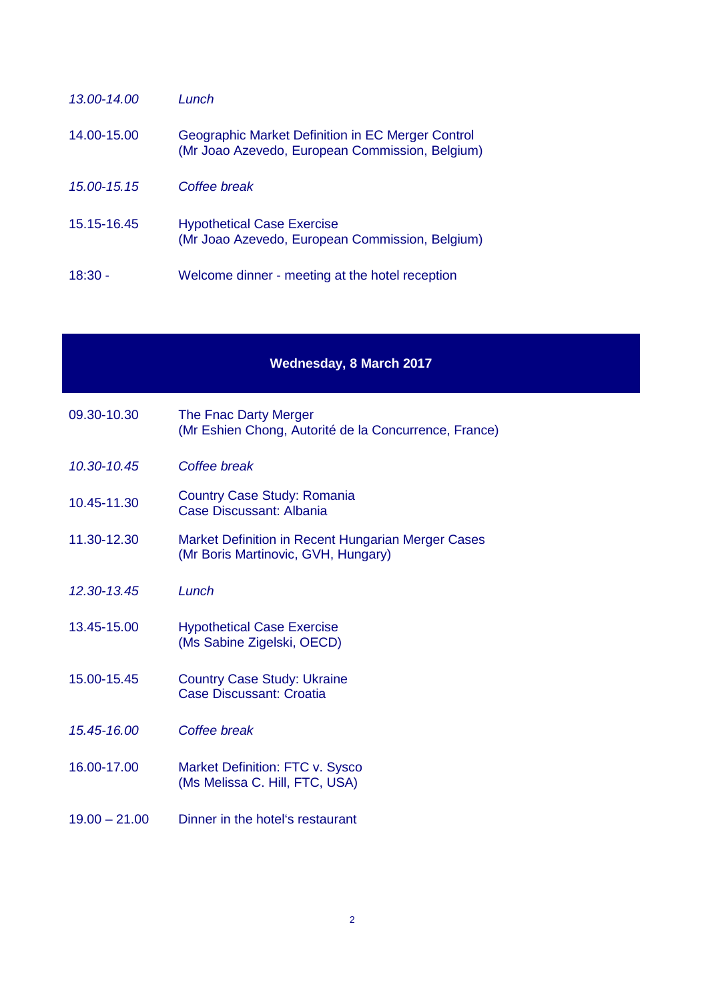| $13.00 - 14.00$ | Lunch                                                                                                |
|-----------------|------------------------------------------------------------------------------------------------------|
| 14.00-15.00     | Geographic Market Definition in EC Merger Control<br>(Mr Joao Azevedo, European Commission, Belgium) |
| 15.00-15.15     | Coffee break                                                                                         |
| 15.15-16.45     | <b>Hypothetical Case Exercise</b><br>(Mr Joao Azevedo, European Commission, Belgium)                 |
| 18:30 -         | Welcome dinner - meeting at the hotel reception                                                      |

## **Wednesday, 8 March 2017**

| 09.30-10.30     | The Fnac Darty Merger<br>(Mr Eshien Chong, Autorité de la Concurrence, France)            |
|-----------------|-------------------------------------------------------------------------------------------|
| 10.30-10.45     | Coffee break                                                                              |
| 10.45-11.30     | <b>Country Case Study: Romania</b><br>Case Discussant: Albania                            |
| 11.30-12.30     | Market Definition in Recent Hungarian Merger Cases<br>(Mr Boris Martinovic, GVH, Hungary) |
| 12.30-13.45     | Lunch                                                                                     |
| 13.45-15.00     | <b>Hypothetical Case Exercise</b><br>(Ms Sabine Zigelski, OECD)                           |
| 15.00-15.45     | <b>Country Case Study: Ukraine</b><br><b>Case Discussant: Croatia</b>                     |
| 15.45-16.00     | Coffee break                                                                              |
| 16.00-17.00     | Market Definition: FTC v. Sysco<br>(Ms Melissa C. Hill, FTC, USA)                         |
| $19.00 - 21.00$ | Dinner in the hotel's restaurant                                                          |